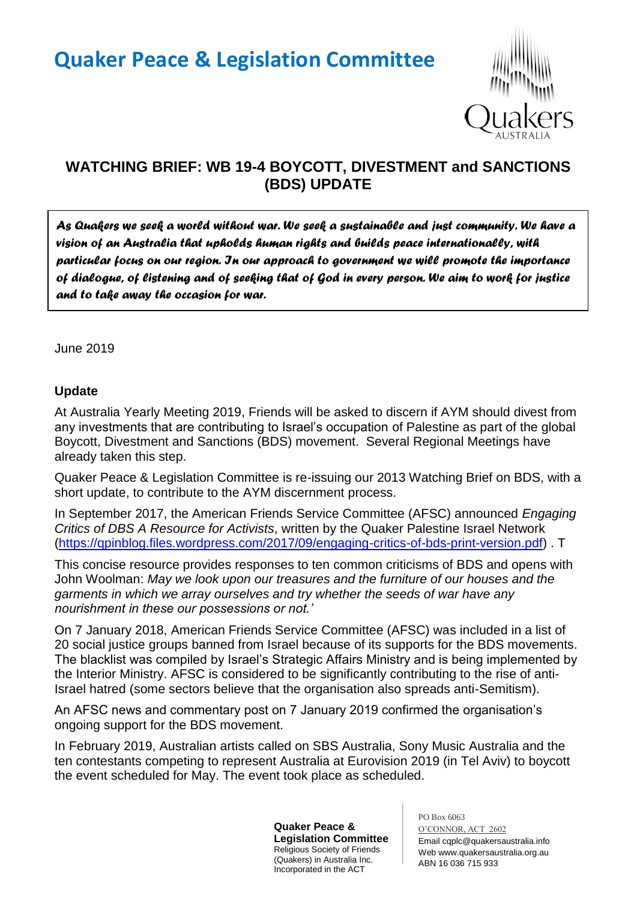# **Quaker Peace & Legislation Committee**



# **WATCHING BRIEF: WB 19-4 BOYCOTT, DIVESTMENT and SANCTIONS (BDS) UPDATE**

*As Quakers we seek a world without war. We seek a sustainable and just community. We have a vision of an Australia that upholds human rights and builds peace internationally, with particular focus on our region. In our approach to government we will promote the importance of dialogue, of listening and of seeking that of God in every person. We aim to work for justice and to take away the occasion for war.* 

June 2019

#### **Update**

At Australia Yearly Meeting 2019, Friends will be asked to discern if AYM should divest from any investments that are contributing to Israel's occupation of Palestine as part of the global Boycott, Divestment and Sanctions (BDS) movement. Several Regional Meetings have already taken this step.

Quaker Peace & Legislation Committee is re-issuing our 2013 Watching Brief on BDS, with a short update, to contribute to the AYM discernment process.

In September 2017, the American Friends Service Committee (AFSC) announced *Engaging Critics of DBS A Resource for Activists*, written by the Quaker Palestine Israel Network [\(https://qpinblog.files.wordpress.com/2017/09/engaging-critics-of-bds-print-version.pdf\)](https://qpinblog.files.wordpress.com/2017/09/engaging-critics-of-bds-print-version.pdf) . T

This concise resource provides responses to ten common criticisms of BDS and opens with John Woolman: *May we look upon our treasures and the furniture of our houses and the garments in which we array ourselves and try whether the seeds of war have any nourishment in these our possessions or not.'*

On 7 January 2018, American Friends Service Committee (AFSC) was included in a list of 20 social justice groups banned from Israel because of its supports for the BDS movements. The blacklist was compiled by Israel's Strategic Affairs Ministry and is being implemented by the Interior Ministry. AFSC is considered to be significantly contributing to the rise of anti-Israel hatred (some sectors believe that the organisation also spreads anti-Semitism).

An AFSC news and commentary post on 7 January 2019 confirmed the organisation's ongoing support for the BDS movement.

In February 2019, Australian artists called on SBS Australia, Sony Music Australia and the ten contestants competing to represent Australia at Eurovision 2019 (in Tel Aviv) to boycott the event scheduled for May. The event took place as scheduled.

> **Quaker Peace & Legislation Committee** Religious Society of Friends (Quakers) in Australia Inc. Incorporated in the ACT

PO Box 6063 O'CONNOR, ACT 2602 Email cqplc@quakersaustralia.info Web www.quakersaustralia.org.au ABN 16 036 715 933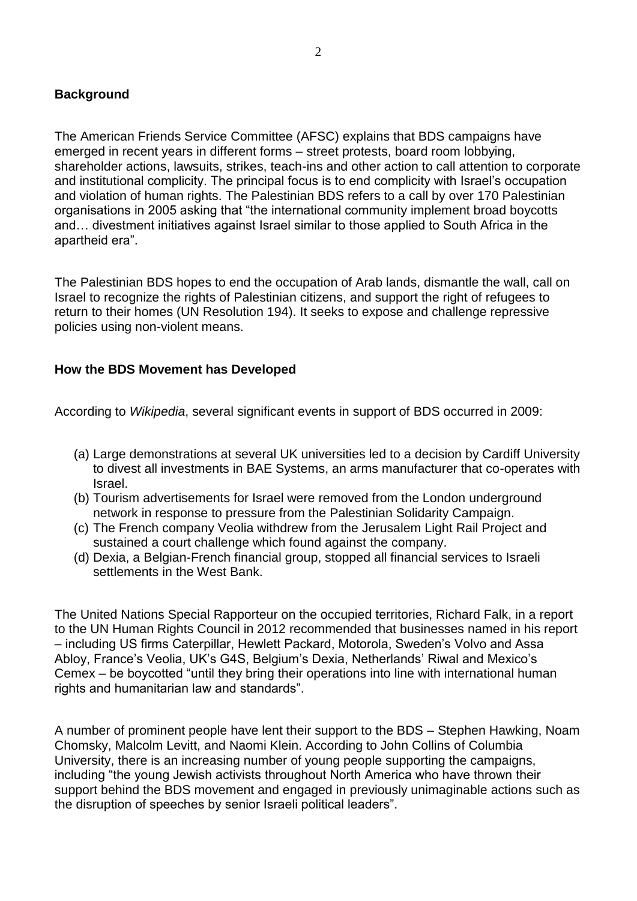## **Background**

The American Friends Service Committee (AFSC) explains that BDS campaigns have emerged in recent years in different forms – street protests, board room lobbying, shareholder actions, lawsuits, strikes, teach-ins and other action to call attention to corporate and institutional complicity. The principal focus is to end complicity with Israel's occupation and violation of human rights. The Palestinian BDS refers to a call by over 170 Palestinian organisations in 2005 asking that "the international community implement broad boycotts and… divestment initiatives against Israel similar to those applied to South Africa in the apartheid era".

The Palestinian BDS hopes to end the occupation of Arab lands, dismantle the wall, call on Israel to recognize the rights of Palestinian citizens, and support the right of refugees to return to their homes (UN Resolution 194). It seeks to expose and challenge repressive policies using non-violent means.

## **How the BDS Movement has Developed**

According to *Wikipedia*, several significant events in support of BDS occurred in 2009:

- (a) Large demonstrations at several UK universities led to a decision by Cardiff University to divest all investments in BAE Systems, an arms manufacturer that co-operates with Israel.
- (b) Tourism advertisements for Israel were removed from the London underground network in response to pressure from the Palestinian Solidarity Campaign.
- (c) The French company Veolia withdrew from the Jerusalem Light Rail Project and sustained a court challenge which found against the company.
- (d) Dexia, a Belgian-French financial group, stopped all financial services to Israeli settlements in the West Bank.

The United Nations Special Rapporteur on the occupied territories, Richard Falk, in a report to the UN Human Rights Council in 2012 recommended that businesses named in his report – including US firms Caterpillar, Hewlett Packard, Motorola, Sweden's Volvo and Assa Abloy, France's Veolia, UK's G4S, Belgium's Dexia, Netherlands' Riwal and Mexico's Cemex – be boycotted "until they bring their operations into line with international human rights and humanitarian law and standards".

A number of prominent people have lent their support to the BDS – Stephen Hawking, Noam Chomsky, Malcolm Levitt, and Naomi Klein. According to John Collins of Columbia University, there is an increasing number of young people supporting the campaigns, including "the young Jewish activists throughout North America who have thrown their support behind the BDS movement and engaged in previously unimaginable actions such as the disruption of speeches by senior Israeli political leaders".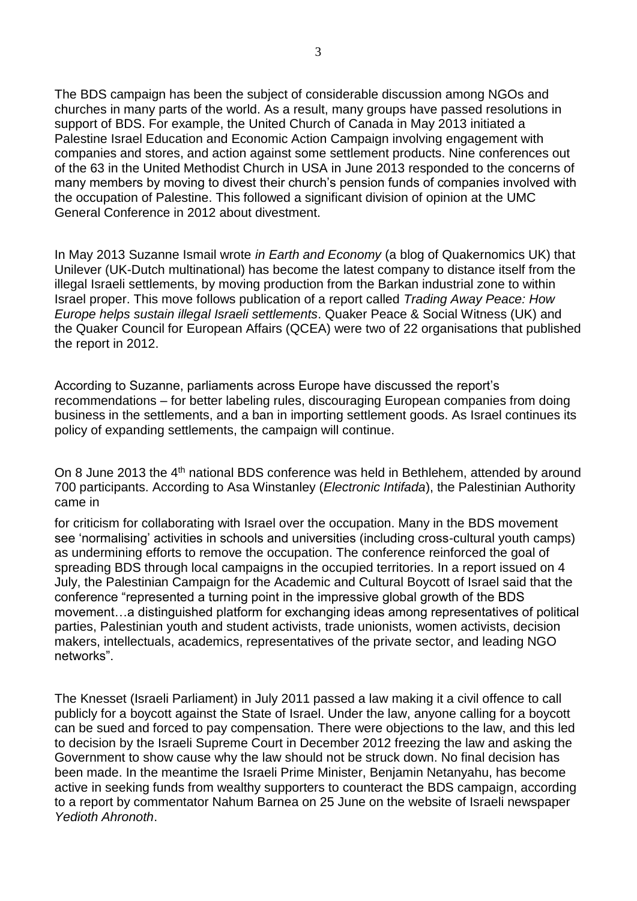The BDS campaign has been the subject of considerable discussion among NGOs and churches in many parts of the world. As a result, many groups have passed resolutions in support of BDS. For example, the United Church of Canada in May 2013 initiated a Palestine Israel Education and Economic Action Campaign involving engagement with companies and stores, and action against some settlement products. Nine conferences out of the 63 in the United Methodist Church in USA in June 2013 responded to the concerns of many members by moving to divest their church's pension funds of companies involved with the occupation of Palestine. This followed a significant division of opinion at the UMC General Conference in 2012 about divestment.

In May 2013 Suzanne Ismail wrote *in Earth and Economy* (a blog of Quakernomics UK) that Unilever (UK-Dutch multinational) has become the latest company to distance itself from the illegal Israeli settlements, by moving production from the Barkan industrial zone to within Israel proper. This move follows publication of a report called *Trading Away Peace: How Europe helps sustain illegal Israeli settlements*. Quaker Peace & Social Witness (UK) and the Quaker Council for European Affairs (QCEA) were two of 22 organisations that published the report in 2012.

According to Suzanne, parliaments across Europe have discussed the report's recommendations – for better labeling rules, discouraging European companies from doing business in the settlements, and a ban in importing settlement goods. As Israel continues its policy of expanding settlements, the campaign will continue.

On 8 June 2013 the 4<sup>th</sup> national BDS conference was held in Bethlehem, attended by around 700 participants. According to Asa Winstanley (*Electronic Intifada*), the Palestinian Authority came in

for criticism for collaborating with Israel over the occupation. Many in the BDS movement see 'normalising' activities in schools and universities (including cross-cultural youth camps) as undermining efforts to remove the occupation. The conference reinforced the goal of spreading BDS through local campaigns in the occupied territories. In a report issued on 4 July, the Palestinian Campaign for the Academic and Cultural Boycott of Israel said that the conference "represented a turning point in the impressive global growth of the BDS movement…a distinguished platform for exchanging ideas among representatives of political parties, Palestinian youth and student activists, trade unionists, women activists, decision makers, intellectuals, academics, representatives of the private sector, and leading NGO networks".

The Knesset (Israeli Parliament) in July 2011 passed a law making it a civil offence to call publicly for a boycott against the State of Israel. Under the law, anyone calling for a boycott can be sued and forced to pay compensation. There were objections to the law, and this led to decision by the Israeli Supreme Court in December 2012 freezing the law and asking the Government to show cause why the law should not be struck down. No final decision has been made. In the meantime the Israeli Prime Minister, Benjamin Netanyahu, has become active in seeking funds from wealthy supporters to counteract the BDS campaign, according to a report by commentator Nahum Barnea on 25 June on the website of Israeli newspaper *Yedioth Ahronoth*.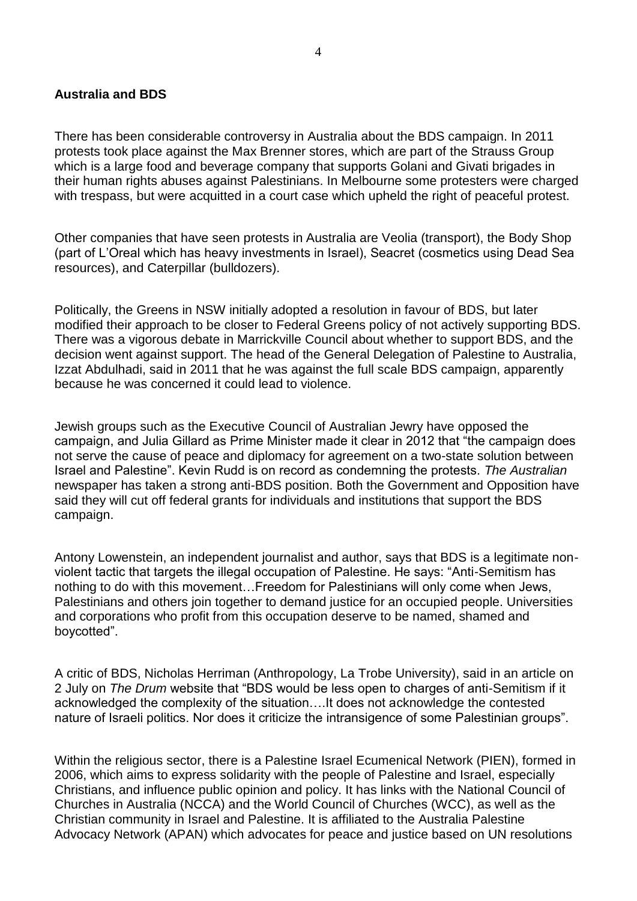#### **Australia and BDS**

There has been considerable controversy in Australia about the BDS campaign. In 2011 protests took place against the Max Brenner stores, which are part of the Strauss Group which is a large food and beverage company that supports Golani and Givati brigades in their human rights abuses against Palestinians. In Melbourne some protesters were charged with trespass, but were acquitted in a court case which upheld the right of peaceful protest.

Other companies that have seen protests in Australia are Veolia (transport), the Body Shop (part of L'Oreal which has heavy investments in Israel), Seacret (cosmetics using Dead Sea resources), and Caterpillar (bulldozers).

Politically, the Greens in NSW initially adopted a resolution in favour of BDS, but later modified their approach to be closer to Federal Greens policy of not actively supporting BDS. There was a vigorous debate in Marrickville Council about whether to support BDS, and the decision went against support. The head of the General Delegation of Palestine to Australia, Izzat Abdulhadi, said in 2011 that he was against the full scale BDS campaign, apparently because he was concerned it could lead to violence.

Jewish groups such as the Executive Council of Australian Jewry have opposed the campaign, and Julia Gillard as Prime Minister made it clear in 2012 that "the campaign does not serve the cause of peace and diplomacy for agreement on a two-state solution between Israel and Palestine". Kevin Rudd is on record as condemning the protests. *The Australian* newspaper has taken a strong anti-BDS position. Both the Government and Opposition have said they will cut off federal grants for individuals and institutions that support the BDS campaign.

Antony Lowenstein, an independent journalist and author, says that BDS is a legitimate nonviolent tactic that targets the illegal occupation of Palestine. He says: "Anti-Semitism has nothing to do with this movement…Freedom for Palestinians will only come when Jews, Palestinians and others join together to demand justice for an occupied people. Universities and corporations who profit from this occupation deserve to be named, shamed and boycotted".

A critic of BDS, Nicholas Herriman (Anthropology, La Trobe University), said in an article on 2 July on *The Drum* website that "BDS would be less open to charges of anti-Semitism if it acknowledged the complexity of the situation….It does not acknowledge the contested nature of Israeli politics. Nor does it criticize the intransigence of some Palestinian groups".

Within the religious sector, there is a Palestine Israel Ecumenical Network (PIEN), formed in 2006, which aims to express solidarity with the people of Palestine and Israel, especially Christians, and influence public opinion and policy. It has links with the National Council of Churches in Australia (NCCA) and the World Council of Churches (WCC), as well as the Christian community in Israel and Palestine. It is affiliated to the Australia Palestine Advocacy Network (APAN) which advocates for peace and justice based on UN resolutions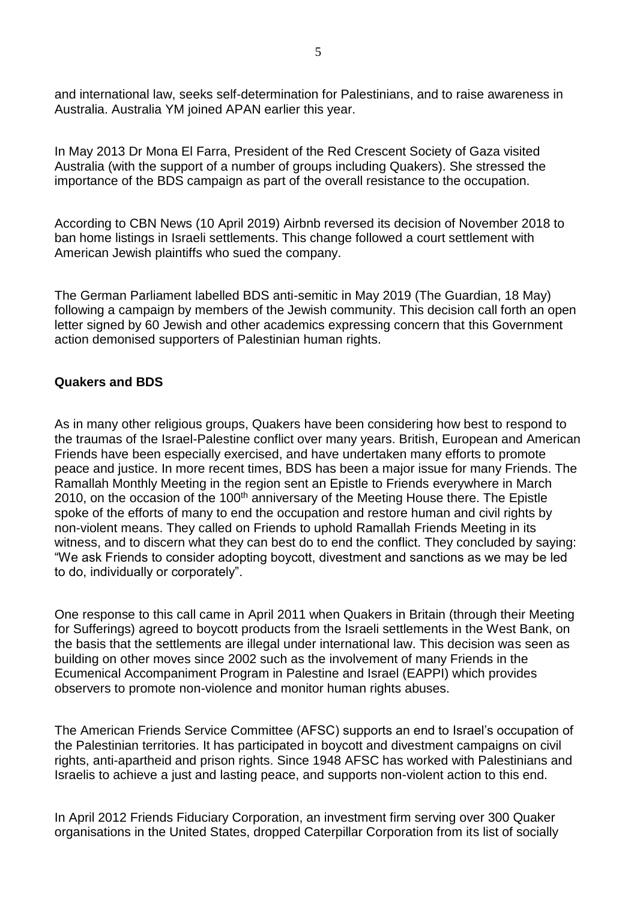and international law, seeks self-determination for Palestinians, and to raise awareness in Australia. Australia YM joined APAN earlier this year.

In May 2013 Dr Mona El Farra, President of the Red Crescent Society of Gaza visited Australia (with the support of a number of groups including Quakers). She stressed the importance of the BDS campaign as part of the overall resistance to the occupation.

According to CBN News (10 April 2019) Airbnb reversed its decision of November 2018 to ban home listings in Israeli settlements. This change followed a court settlement with American Jewish plaintiffs who sued the company.

The German Parliament labelled BDS anti-semitic in May 2019 (The Guardian, 18 May) following a campaign by members of the Jewish community. This decision call forth an open letter signed by 60 Jewish and other academics expressing concern that this Government action demonised supporters of Palestinian human rights.

## **Quakers and BDS**

As in many other religious groups, Quakers have been considering how best to respond to the traumas of the Israel-Palestine conflict over many years. British, European and American Friends have been especially exercised, and have undertaken many efforts to promote peace and justice. In more recent times, BDS has been a major issue for many Friends. The Ramallah Monthly Meeting in the region sent an Epistle to Friends everywhere in March 2010, on the occasion of the 100<sup>th</sup> anniversary of the Meeting House there. The Epistle spoke of the efforts of many to end the occupation and restore human and civil rights by non-violent means. They called on Friends to uphold Ramallah Friends Meeting in its witness, and to discern what they can best do to end the conflict. They concluded by saying: "We ask Friends to consider adopting boycott, divestment and sanctions as we may be led to do, individually or corporately".

One response to this call came in April 2011 when Quakers in Britain (through their Meeting for Sufferings) agreed to boycott products from the Israeli settlements in the West Bank, on the basis that the settlements are illegal under international law. This decision was seen as building on other moves since 2002 such as the involvement of many Friends in the Ecumenical Accompaniment Program in Palestine and Israel (EAPPI) which provides observers to promote non-violence and monitor human rights abuses.

The American Friends Service Committee (AFSC) supports an end to Israel's occupation of the Palestinian territories. It has participated in boycott and divestment campaigns on civil rights, anti-apartheid and prison rights. Since 1948 AFSC has worked with Palestinians and Israelis to achieve a just and lasting peace, and supports non-violent action to this end.

In April 2012 Friends Fiduciary Corporation, an investment firm serving over 300 Quaker organisations in the United States, dropped Caterpillar Corporation from its list of socially